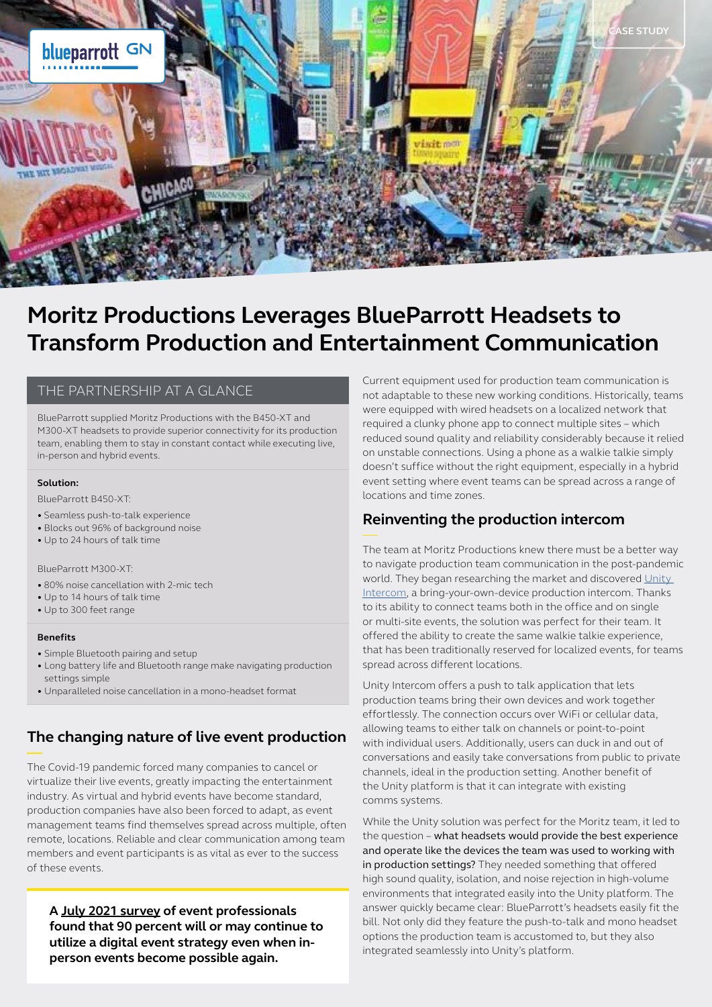

# **Moritz Productions Leverages BlueParrott Headsets to Transform Production and Entertainment Communication**

### THE PARTNERSHIP AT A GLANCE

BlueParrott supplied Moritz Productions with the B450-XT and M300-XT headsets to provide superior connectivity for its production team, enabling them to stay in constant contact while executing live, in-person and hybrid events.

#### **Solution:**

BlueParrott B450-XT:

- Seamless push-to-talk experience
- Blocks out 96% of background noise
- Up to 24 hours of talk time

#### BlueParrott M300-XT:

- 80% noise cancellation with 2-mic tech
- Up to 14 hours of talk time
- Up to 300 feet range

#### **Benefits**

- Simple Bluetooth pairing and setup
- Long battery life and Bluetooth range make navigating production settings simple
- Unparalleled noise cancellation in a mono-headset format

### **The changing nature of live event production**

The Covid-19 pandemic forced many companies to cancel or virtualize their live events, greatly impacting the entertainment industry. As virtual and hybrid events have become standard, production companies have also been forced to adapt, as event management teams find themselves spread across multiple, often remote, locations. Reliable and clear communication among team members and event participants is as vital as ever to the success of these events.

**A [July 2021 survey](https://www.pcma.org/hybrid-event-format-will-stay-survey/) of event professionals found that 90 percent will or may continue to utilize a digital event strategy even when inperson events become possible again.**

Current equipment used for production team communication is not adaptable to these new working conditions. Historically, teams were equipped with wired headsets on a localized network that required a clunky phone app to connect multiple sites – which reduced sound quality and reliability considerably because it relied on unstable connections. Using a phone as a walkie talkie simply doesn't suffice without the right equipment, especially in a hybrid event setting where event teams can be spread across a range of locations and time zones.

### **Reinventing the production intercom**

The team at Moritz Productions knew there must be a better way to navigate production team communication in the post-pandemic world. They began researching the market and discovered Unity [Intercom,](https://www.unityintercom.com/) a bring-your-own-device production intercom. Thanks to its ability to connect teams both in the office and on single or multi-site events, the solution was perfect for their team. It offered the ability to create the same walkie talkie experience, that has been traditionally reserved for localized events, for teams spread across different locations.

Unity Intercom offers a push to talk application that lets production teams bring their own devices and work together effortlessly. The connection occurs over WiFi or cellular data, allowing teams to either talk on channels or point-to-point with individual users. Additionally, users can duck in and out of conversations and easily take conversations from public to private channels, ideal in the production setting. Another benefit of the Unity platform is that it can integrate with existing comms systems.

While the Unity solution was perfect for the Moritz team, it led to the question – what headsets would provide the best experience and operate like the devices the team was used to working with in production settings? They needed something that offered high sound quality, isolation, and noise rejection in high-volume environments that integrated easily into the Unity platform. The answer quickly became clear: BlueParrott's headsets easily fit the bill. Not only did they feature the push-to-talk and mono headset options the production team is accustomed to, but they also integrated seamlessly into Unity's platform.